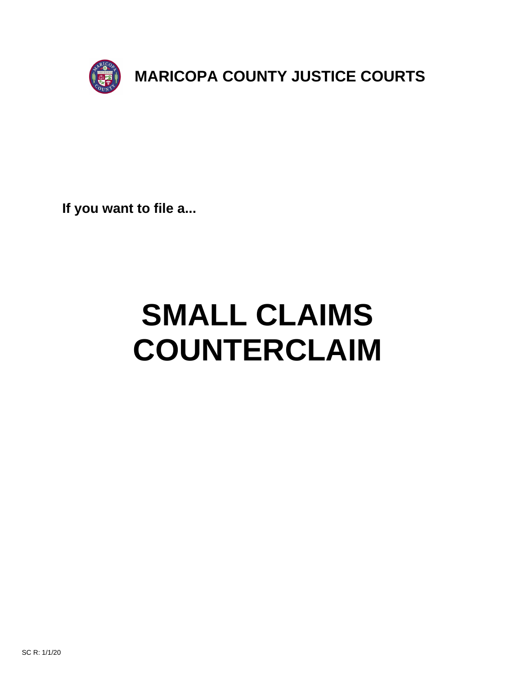

**If you want to file a...**

# **SMALL CLAIMS COUNTERCLAIM**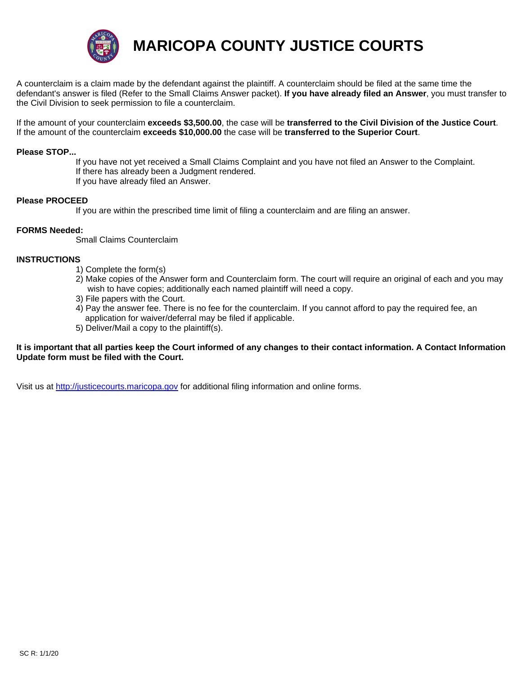

**MARICOPA COUNTY JUSTICE COURTS**

A counterclaim is a claim made by the defendant against the plaintiff. A counterclaim should be filed at the same time the defendant's answer is filed (Refer to the Small Claims Answer packet). **If you have already filed an Answer**, you must transfer to the Civil Division to seek permission to file a counterclaim.

If the amount of your counterclaim **exceeds \$3,500.00**, the case will be **transferred to the Civil Division of the Justice Court**. If the amount of the counterclaim **exceeds \$10,000.00** the case will be **transferred to the Superior Court**.

#### **Please STOP...**

 If you have not yet received a Small Claims Complaint and you have not filed an Answer to the Complaint. If there has already been a Judgment rendered. If you have already filed an Answer.

#### **Please PROCEED**

If you are within the prescribed time limit of filing a counterclaim and are filing an answer.

#### **FORMS Needed:**

Small Claims Counterclaim

#### **INSTRUCTIONS**

- 1) Complete the form(s)
- 2) Make copies of the Answer form and Counterclaim form. The court will require an original of each and you may wish to have copies; additionally each named plaintiff will need a copy.
- 3) File papers with the Court.
- 4) Pay the answer fee. There is no fee for the counterclaim. If you cannot afford to pay the required fee, an application for waiver/deferral may be filed if applicable.
- 5) Deliver/Mail a copy to the plaintiff(s).

### **It is important that all parties keep the Court informed of any changes to their contact information. A Contact Information Update form must be filed with the Court.**

Visit us at http://justicecourts.maricopa.gov for additional filing information and online forms.